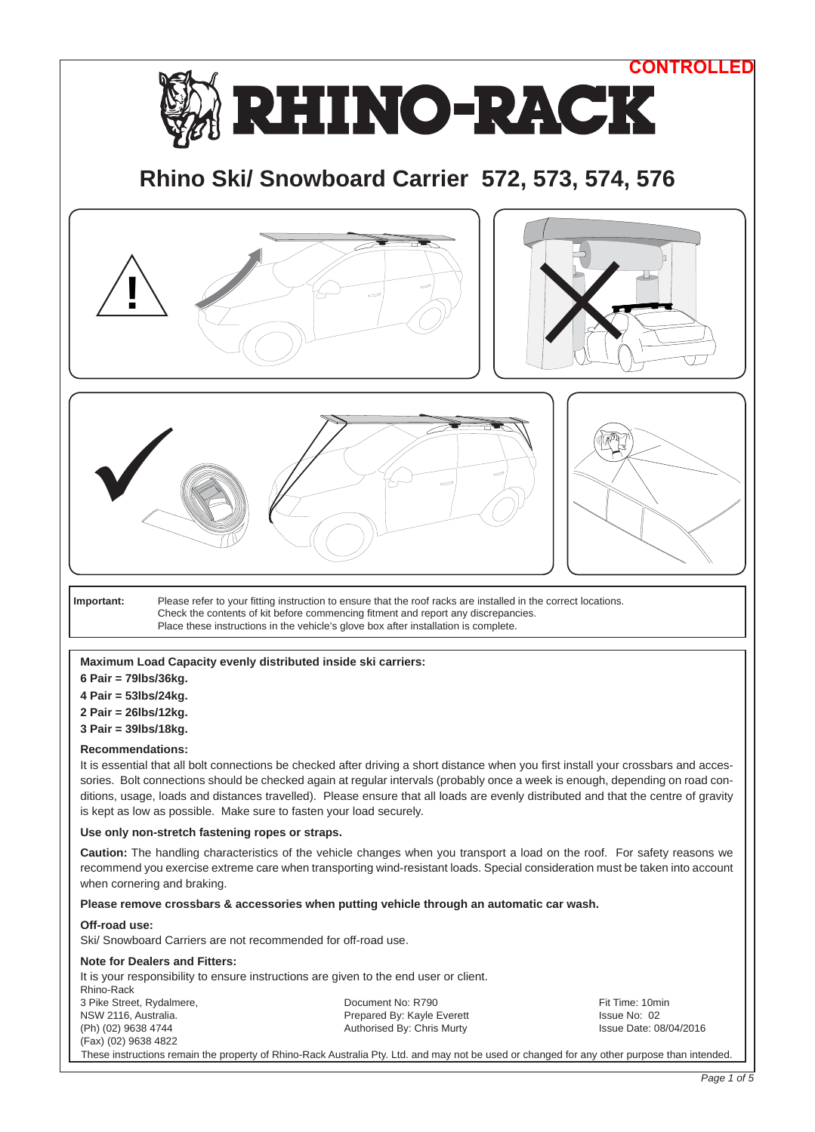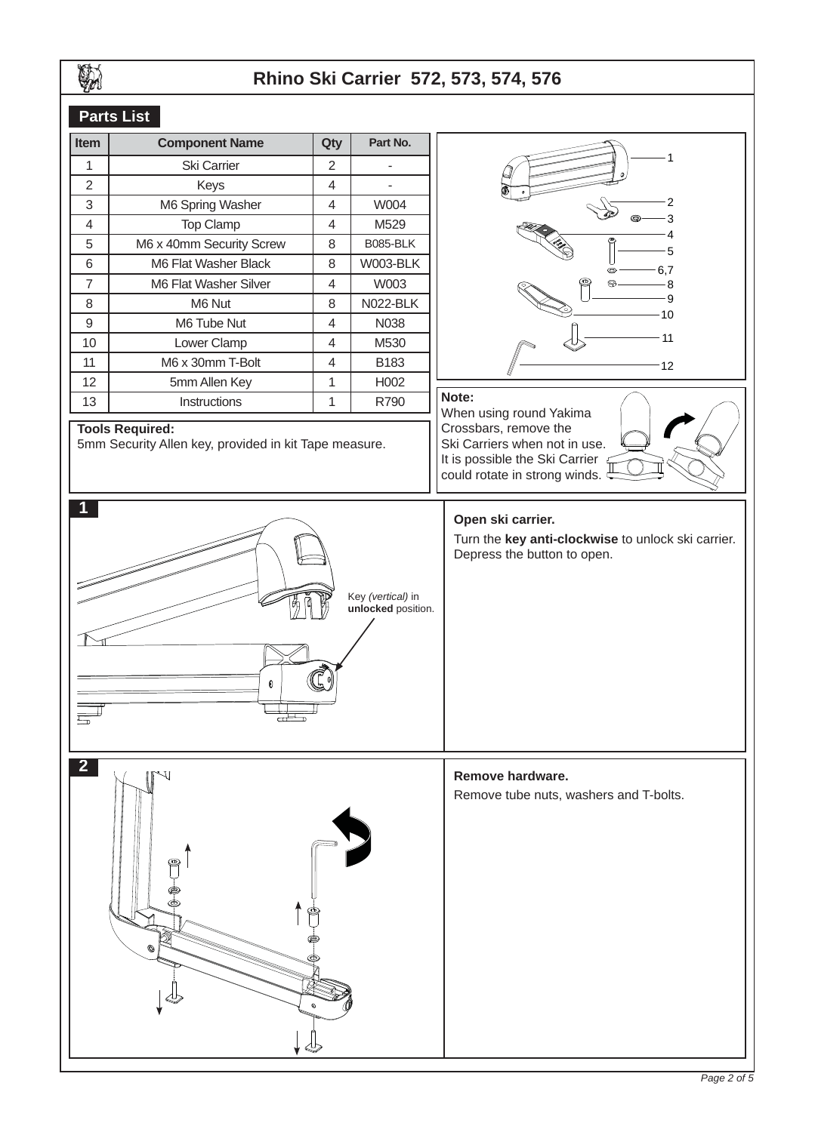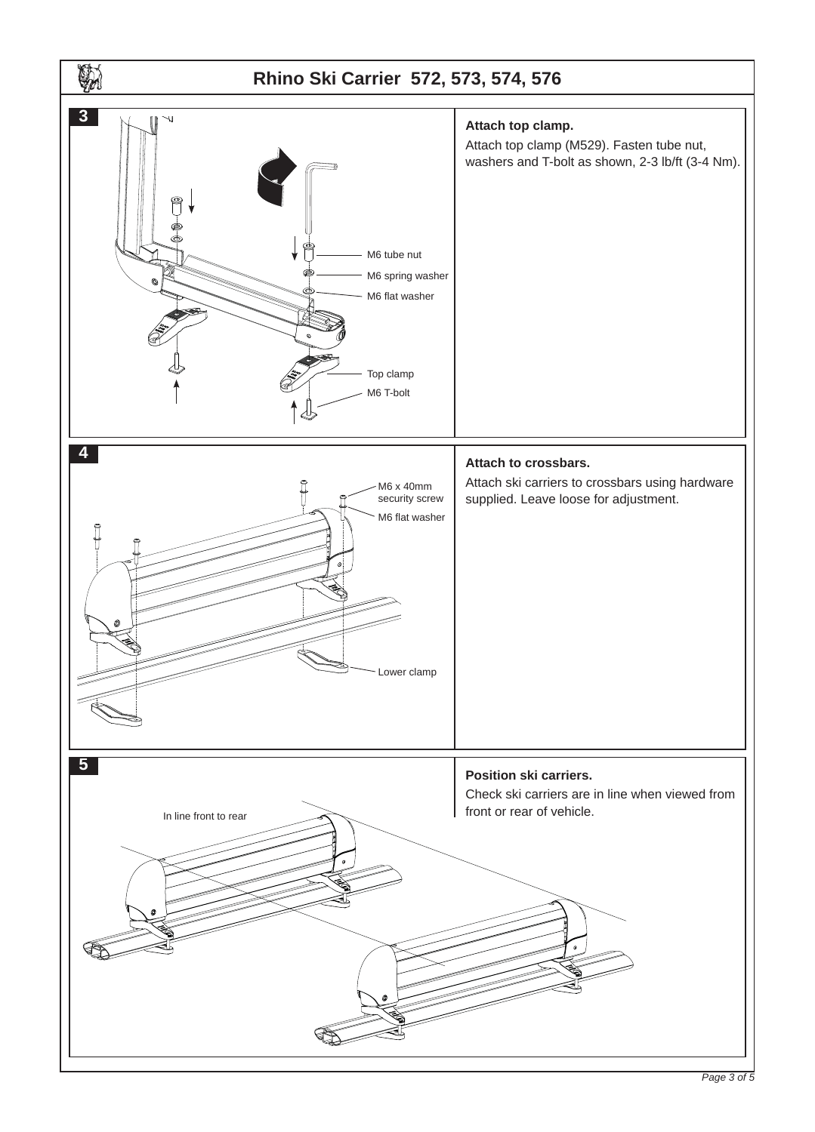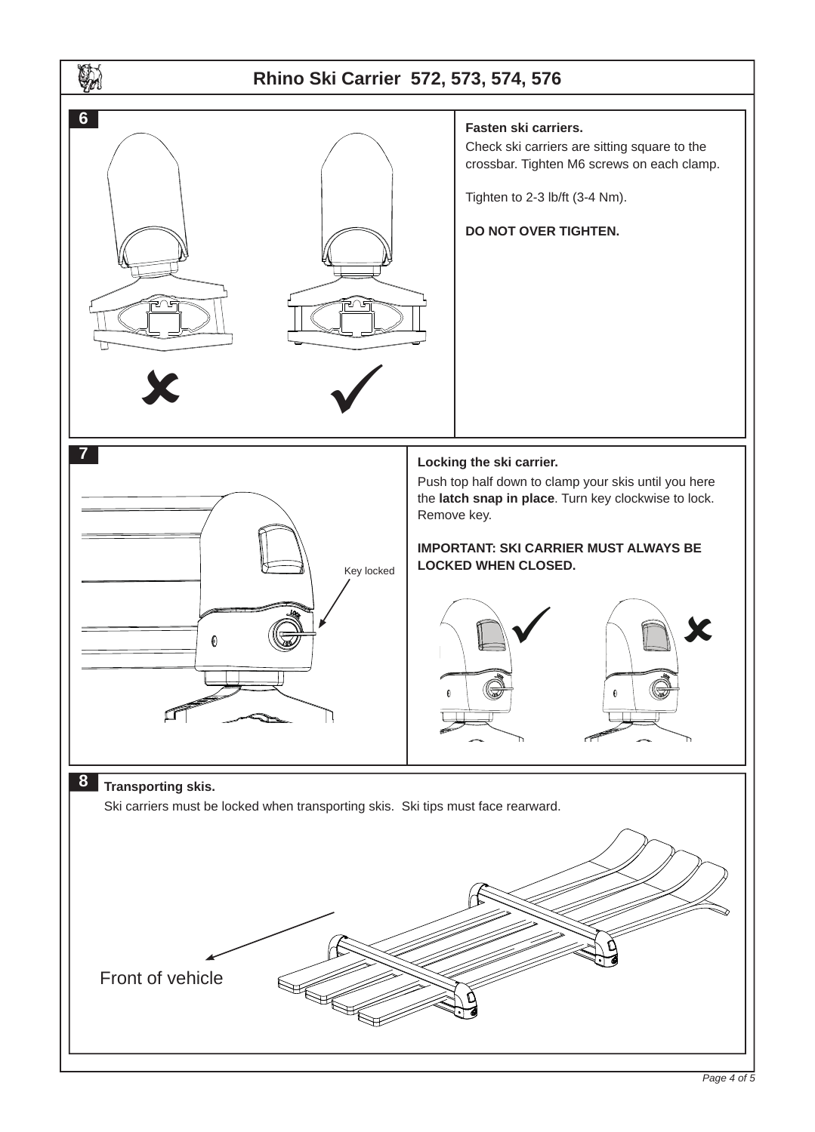